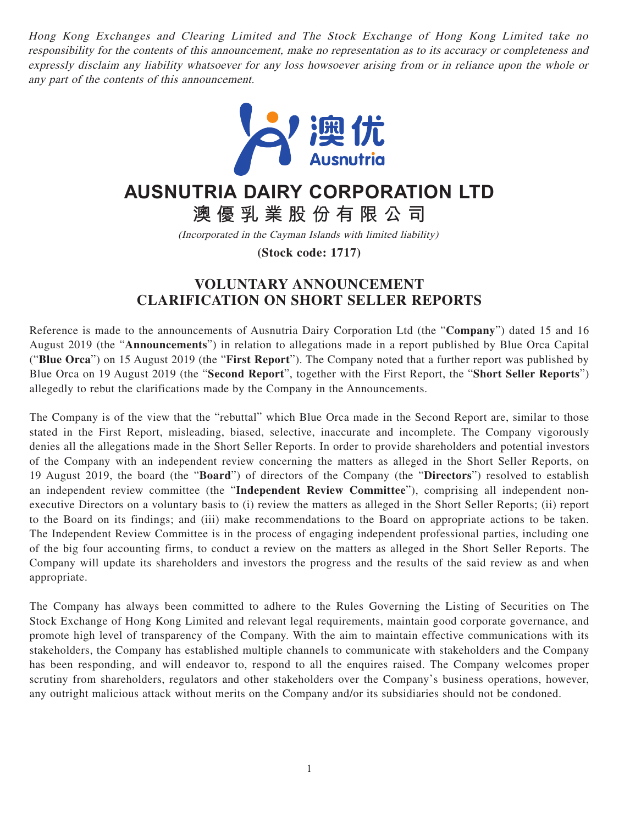Hong Kong Exchanges and Clearing Limited and The Stock Exchange of Hong Kong Limited take no responsibility for the contents of this announcement, make no representation as to its accuracy or completeness and expressly disclaim any liability whatsoever for any loss howsoever arising from or in reliance upon the whole or any part of the contents of this announcement.



## **AUSNUTRIA DAIRY CORPORATION LTD**

**澳優乳業股份有限公司**

(Incorporated in the Cayman Islands with limited liability)

**(Stock code: 1717)**

## **VOLUNTARY ANNOUNCEMENT CLARIFICATION ON SHORT SELLER REPORTS**

Reference is made to the announcements of Ausnutria Dairy Corporation Ltd (the "**Company**") dated 15 and 16 August 2019 (the "**Announcements**") in relation to allegations made in a report published by Blue Orca Capital ("**Blue Orca**") on 15 August 2019 (the "**First Report**"). The Company noted that a further report was published by Blue Orca on 19 August 2019 (the "**Second Report**", together with the First Report, the "**Short Seller Reports**") allegedly to rebut the clarifications made by the Company in the Announcements.

The Company is of the view that the "rebuttal" which Blue Orca made in the Second Report are, similar to those stated in the First Report, misleading, biased, selective, inaccurate and incomplete. The Company vigorously denies all the allegations made in the Short Seller Reports. In order to provide shareholders and potential investors of the Company with an independent review concerning the matters as alleged in the Short Seller Reports, on 19 August 2019, the board (the "**Board**") of directors of the Company (the "**Directors**") resolved to establish an independent review committee (the "**Independent Review Committee**"), comprising all independent nonexecutive Directors on a voluntary basis to (i) review the matters as alleged in the Short Seller Reports; (ii) report to the Board on its findings; and (iii) make recommendations to the Board on appropriate actions to be taken. The Independent Review Committee is in the process of engaging independent professional parties, including one of the big four accounting firms, to conduct a review on the matters as alleged in the Short Seller Reports. The Company will update its shareholders and investors the progress and the results of the said review as and when appropriate.

The Company has always been committed to adhere to the Rules Governing the Listing of Securities on The Stock Exchange of Hong Kong Limited and relevant legal requirements, maintain good corporate governance, and promote high level of transparency of the Company. With the aim to maintain effective communications with its stakeholders, the Company has established multiple channels to communicate with stakeholders and the Company has been responding, and will endeavor to, respond to all the enquires raised. The Company welcomes proper scrutiny from shareholders, regulators and other stakeholders over the Company's business operations, however, any outright malicious attack without merits on the Company and/or its subsidiaries should not be condoned.